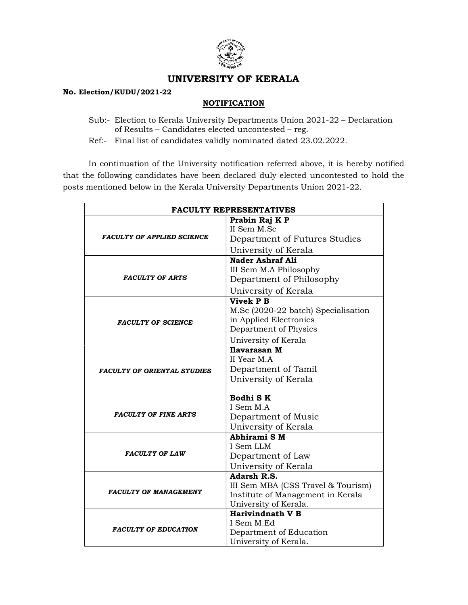

## UNIVERSITY OF KERALA

## No. Election/KUDU/2021-22

## **NOTIFICATION**

- Sub:- Election to Kerala University Departments Union 2021-22 Declaration of Results – Candidates elected uncontested – reg.
- Ref:- Final list of candidates validly nominated dated 23.02.2022.

 In continuation of the University notification referred above, it is hereby notified that the following candidates have been declared duly elected uncontested to hold the posts mentioned below in the Kerala University Departments Union 2021-22.

| <b>FACULTY REPRESENTATIVES</b>     |                                     |
|------------------------------------|-------------------------------------|
| <b>FACULTY OF APPLIED SCIENCE</b>  | Prabin Raj K P<br>II Sem M.Sc       |
|                                    |                                     |
|                                    | Department of Futures Studies       |
|                                    | University of Kerala                |
| <b>FACULTY OF ARTS</b>             | Nader Ashraf Ali                    |
|                                    | III Sem M.A Philosophy              |
|                                    | Department of Philosophy            |
|                                    | University of Kerala                |
| <b>FACULTY OF SCIENCE</b>          | <b>Vivek P B</b>                    |
|                                    | M.Sc (2020-22 batch) Specialisation |
|                                    | in Applied Electronics              |
|                                    | Department of Physics               |
|                                    | University of Kerala                |
| <b>FACULTY OF ORIENTAL STUDIES</b> | Ilavarasan M                        |
|                                    | II Year M.A                         |
|                                    | Department of Tamil                 |
|                                    | University of Kerala                |
| <b>FACULTY OF FINE ARTS</b>        | Bodhi SK                            |
|                                    | I Sem M.A.                          |
|                                    | Department of Music                 |
|                                    | University of Kerala                |
| <b>FACULTY OF LAW</b>              | Abhirami SM                         |
|                                    | I Sem LLM                           |
|                                    | Department of Law                   |
|                                    | University of Kerala                |
| <b>FACULTY OF MANAGEMENT</b>       | Adarsh R.S.                         |
|                                    | III Sem MBA (CSS Travel & Tourism)  |
|                                    | Institute of Management in Kerala   |
|                                    | University of Kerala.               |
| <b>FACULTY OF EDUCATION</b>        | <b>Harivindnath V B</b>             |
|                                    | I Sem M.Ed                          |
|                                    | Department of Education             |
|                                    | University of Kerala.               |